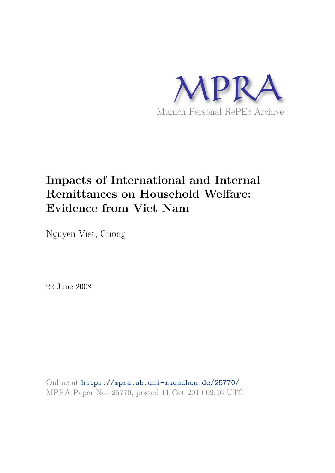

# **Impacts of International and Internal Remittances on Household Welfare: Evidence from Viet Nam**

Nguyen Viet, Cuong

22 June 2008

Online at https://mpra.ub.uni-muenchen.de/25770/ MPRA Paper No. 25770, posted 11 Oct 2010 02:56 UTC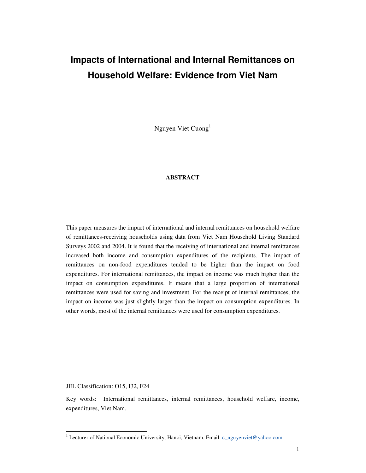## **Impacts of International and Internal Remittances on Household Welfare: Evidence from Viet Nam**

Nguyen Viet Cuong<sup>1</sup>

### **ABSTRACT**

This paper measures the impact of international and internal remittances on household welfare of remittances-receiving households using data from Viet Nam Household Living Standard Surveys 2002 and 2004. It is found that the receiving of international and internal remittances increased both income and consumption expenditures of the recipients. The impact of remittances on non-food expenditures tended to be higher than the impact on food expenditures. For international remittances, the impact on income was much higher than the impact on consumption expenditures. It means that a large proportion of international remittances were used for saving and investment. For the receipt of internal remittances, the impact on income was just slightly larger than the impact on consumption expenditures. In other words, most of the internal remittances were used for consumption expenditures.

JEL Classification: O15, I32, F24

Key words: International remittances, internal remittances, household welfare, income, expenditures, Viet Nam.

<sup>1&</sup>lt;br><sup>1</sup> Lecturer of National Economic University, Hanoi, Vietnam. Email: <u>c\_nguyenviet@yahoo.com</u>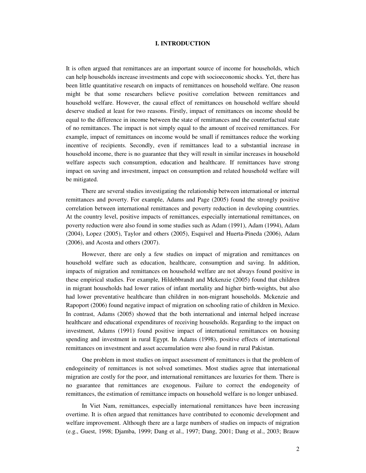#### **I. INTRODUCTION**

It is often argued that remittances are an important source of income for households, which can help households increase investments and cope with socioeconomic shocks. Yet, there has been little quantitative research on impacts of remittances on household welfare. One reason might be that some researchers believe positive correlation between remittances and household welfare. However, the causal effect of remittances on household welfare should deserve studied at least for two reasons. Firstly, impact of remittances on income should be equal to the difference in income between the state of remittances and the counterfactual state of no remittances. The impact is not simply equal to the amount of received remittances. For example, impact of remittances on income would be small if remittances reduce the working incentive of recipients. Secondly, even if remittances lead to a substantial increase in household income, there is no guarantee that they will result in similar increases in household welfare aspects such consumption, education and healthcare. If remittances have strong impact on saving and investment, impact on consumption and related household welfare will be mitigated.

 There are several studies investigating the relationship between international or internal remittances and poverty. For example, Adams and Page (2005) found the strongly positive correlation between international remittances and poverty reduction in developing countries. At the country level, positive impacts of remittances, especially international remittances, on poverty reduction were also found in some studies such as Adam (1991), Adam (1994), Adam (2004), Lopez (2005), Taylor and others (2005), Esquivel and Huerta-Pineda (2006), Adam (2006), and Acosta and others (2007).

However, there are only a few studies on impact of migration and remittances on household welfare such as education, healthcare, consumption and saving. In addition, impacts of migration and remittances on household welfare are not always found positive in these empirical studies. For example, Hildebbrandt and Mckenzie (2005) found that children in migrant households had lower ratios of infant mortality and higher birth-weights, but also had lower preventative healthcare than children in non-migrant households. Mckenzie and Rapoport (2006) found negative impact of migration on schooling ratio of children in Mexico. In contrast, Adams (2005) showed that the both international and internal helped increase healthcare and educational expenditures of receiving households. Regarding to the impact on investment, Adams (1991) found positive impact of international remittances on housing spending and investment in rural Egypt. In Adams (1998), positive effects of international remittances on investment and asset accumulation were also found in rural Pakistan.

 One problem in most studies on impact assessment of remittances is that the problem of endogeineity of remittances is not solved sometimes. Most studies agree that international migration are costly for the poor, and international remittances are luxuries for them. There is no guarantee that remittances are exogenous. Failure to correct the endogeneity of remittances, the estimation of remittance impacts on household welfare is no longer unbiased.

In Viet Nam, remittances, especially international remittances have been increasing overtime. It is often argued that remittances have contributed to economic development and welfare improvement. Although there are a large numbers of studies on impacts of migration (e.g., Guest, 1998; Djamba, 1999; Dang et al., 1997; Dang, 2001; Dang et al., 2003; Brauw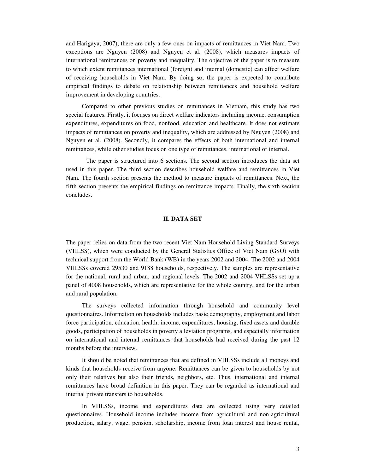and Harigaya, 2007), there are only a few ones on impacts of remittances in Viet Nam. Two exceptions are Nguyen (2008) and Nguyen et al. (2008), which measures impacts of international remittances on poverty and inequality. The objective of the paper is to measure to which extent remittances international (foreign) and internal (domestic) can affect welfare of receiving households in Viet Nam. By doing so, the paper is expected to contribute empirical findings to debate on relationship between remittances and household welfare improvement in developing countries.

Compared to other previous studies on remittances in Vietnam, this study has two special features. Firstly, it focuses on direct welfare indicators including income, consumption expenditures, expenditures on food, nonfood, education and healthcare. It does not estimate impacts of remittances on poverty and inequality, which are addressed by Nguyen (2008) and Nguyen et al. (2008). Secondly, it compares the effects of both international and internal remittances, while other studies focus on one type of remittances, international or internal.

The paper is structured into 6 sections. The second section introduces the data set used in this paper. The third section describes household welfare and remittances in Viet Nam. The fourth section presents the method to measure impacts of remittances. Next, the fifth section presents the empirical findings on remittance impacts. Finally, the sixth section concludes.

#### **II. DATA SET**

The paper relies on data from the two recent Viet Nam Household Living Standard Surveys (VHLSS), which were conducted by the General Statistics Office of Viet Nam (GSO) with technical support from the World Bank (WB) in the years 2002 and 2004. The 2002 and 2004 VHLSSs covered 29530 and 9188 households, respectively. The samples are representative for the national, rural and urban, and regional levels. The 2002 and 2004 VHLSSs set up a panel of 4008 households, which are representative for the whole country, and for the urban and rural population.

The surveys collected information through household and community level questionnaires. Information on households includes basic demography, employment and labor force participation, education, health, income, expenditures, housing, fixed assets and durable goods, participation of households in poverty alleviation programs, and especially information on international and internal remittances that households had received during the past 12 months before the interview.

It should be noted that remittances that are defined in VHLSSs include all moneys and kinds that households receive from anyone. Remittances can be given to households by not only their relatives but also their friends, neighbors, etc. Thus, international and internal remittances have broad definition in this paper. They can be regarded as international and internal private transfers to households.

In VHLSSs, income and expenditures data are collected using very detailed questionnaires. Household income includes income from agricultural and non-agricultural production, salary, wage, pension, scholarship, income from loan interest and house rental,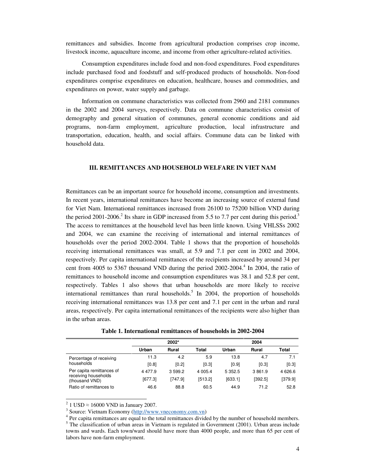remittances and subsidies. Income from agricultural production comprises crop income, livestock income, aquaculture income, and income from other agriculture-related activities.

Consumption expenditures include food and non-food expenditures. Food expenditures include purchased food and foodstuff and self-produced products of households. Non-food expenditures comprise expenditures on education, healthcare, houses and commodities, and expenditures on power, water supply and garbage.

Information on commune characteristics was collected from 2960 and 2181 communes in the 2002 and 2004 surveys, respectively. Data on commune characteristics consist of demography and general situation of communes, general economic conditions and aid programs, non-farm employment, agriculture production, local infrastructure and transportation, education, health, and social affairs. Commune data can be linked with household data.

#### **III. REMITTANCES AND HOUSEHOLD WELFARE IN VIET NAM**

Remittances can be an important source for household income, consumption and investments. In recent years, international remittances have become an increasing source of external fund for Viet Nam. International remittances increased from 26100 to 75200 billion VND during the period 2001-2006.<sup>2</sup> Its share in GDP increased from 5.5 to 7.7 per cent during this period.<sup>3</sup> The access to remittances at the household level has been little known. Using VHLSSs 2002 and 2004, we can examine the receiving of international and internal remittances of households over the period 2002-2004. Table 1 shows that the proportion of households receiving international remittances was small, at 5.9 and 7.1 per cent in 2002 and 2004, respectively. Per capita international remittances of the recipients increased by around 34 per cent from 4005 to 5367 thousand VND during the period 2002-2004.<sup>4</sup> In 2004, the ratio of remittances to household income and consumption expenditures was 38.1 and 52.8 per cent, respectively. Tables 1 also shows that urban households are more likely to receive international remittances than rural households.<sup>5</sup> In 2004, the proportion of households receiving international remittances was 13.8 per cent and 7.1 per cent in the urban and rural areas, respectively. Per capita international remittances of the recipients were also higher than in the urban areas.

|                                                   |           | 2002*        |           | 2004      |              |          |  |
|---------------------------------------------------|-----------|--------------|-----------|-----------|--------------|----------|--|
|                                                   | Urban     | <b>Rural</b> | Total     | Urban     | <b>Rural</b> | Total    |  |
| Percentage of receiving                           | 11.3      | 4.2          | 5.9       | 13.8      | 4.7          | 7.1      |  |
| households                                        | [0.8]     | [0.2]        | [0.3]     | [0.9]     | [0.3]        | [0.3]    |  |
| Per capita remittances of<br>receiving households | 4 4 7 7.9 | 3 599.2      | 4 0 0 5.4 | 5 3 5 2.5 | 3861.9       | 4 6 26.6 |  |
| (thousand VND)                                    | [677.3]   | [747.9]      | [513.2]   | [633.1]   | [392.5]      | [379.9]  |  |
| Ratio of remittances to                           | 46.6      | 88.8         | 60.5      | 44.9      | 71.2         | 52.8     |  |

**Table 1. International remittances of households in 2002-2004** 

<sup>3</sup> Source: Vietnam Economy (http://www.vneconomy.com.vn)

<sup>4</sup> Per capita remittances are equal to the total remittances divided by the number of household members. <sup>5</sup> The classification of urban areas in Vietnam is regulated in Government (2001). Urban areas include towns and wards. Each town/ward should have more than 4000 people, and more than 65 per cent of labors have non-farm employment.

 $\frac{1}{2}$  1 USD  $\approx$  16000 VND in January 2007.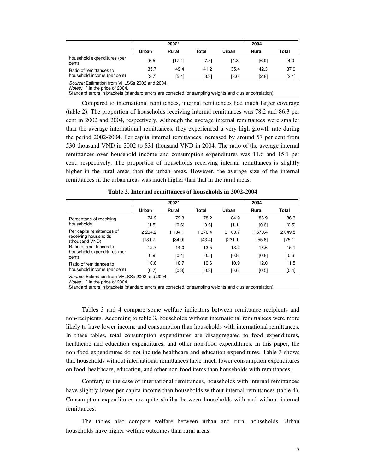|       | 2002*  |       |       |       |       |
|-------|--------|-------|-------|-------|-------|
| Urban | Rural  | Total | Urban | Rural | Total |
| [6.5] | [17.4] | [7.3] | [4.8] | [6.9] | [4.0] |
| 35.7  | 49.4   | 41.2  | 35.4  | 42.3  | 37.9  |
| [3.7] | [5.4]  | [3.3] | [3.0] | [2.8] | [2.1] |
|       |        |       |       |       | 2004  |

Source: Estimation from VHLSSs 2002 and 2004. Notes: \* in the price of 2004.

Standard errors in brackets (standard errors are corrected for sampling weights and cluster correlation).

Compared to international remittances, internal remittances had much larger coverage (table 2). The proportion of households receiving internal remittances was 78.2 and 86.3 per cent in 2002 and 2004, respectively. Although the average internal remittances were smaller than the average international remittances, they experienced a very high growth rate during the period 2002-2004. Per capita internal remittances increased by around 57 per cent from 530 thousand VND in 2002 to 831 thousand VND in 2004. The ratio of the average internal remittances over household income and consumption expenditures was 11.6 and 15.1 per cent, respectively. The proportion of households receiving internal remittances is slightly higher in the rural areas than the urban areas. However, the average size of the internal remittances in the urban areas was much higher than that in the rural areas.

|                                                |             | 2002*        |         |         |              |         |
|------------------------------------------------|-------------|--------------|---------|---------|--------------|---------|
|                                                | Urban       | <b>Rural</b> | Total   | Urban   | <b>Rural</b> | Total   |
| Percentage of receiving                        | 74.9        | 79.3         | 78.2    | 84.9    | 86.9         | 86.3    |
| households                                     | [1.5]       | [0.6]        | [0.6]   | [1.1]   | [0.6]        | [0.5]   |
| Per capita remittances of                      | 2 2 0 4 . 2 | 1 104.1      | 1 370.4 | 3 100.7 | 1 670.4      | 2 049.5 |
| receiving households<br>(thousand VND)         | [131.7]     | [34.9]       | [43.4]  | [231.1] | [55.6]       | [75.1]  |
| Ratio of remittances to                        | 12.7        | 14.0         | 13.5    | 13.2    | 16.6         | 15.1    |
| household expenditures (per<br>cent)           | [0.9]       | [0.4]        | [0.5]   | [0.8]   | [0.8]        | [0.6]   |
| Ratio of remittances to                        | 10.6        | 10.7         | 10.6    | 10.9    | 12.0         | 11.5    |
| household income (per cent)                    | [0.7]       | [0.3]        | [0.3]   | [0.6]   | [0.5]        | [0.4]   |
| Course: Fetimetian from VIII CCo 0000 and 0004 |             |              |         |         |              |         |

**Table 2. Internal remittances of households in 2002-2004** 

stimation from VHLSSs 2002 and 2004.

Notes: \* in the price of 2004.

Standard errors in brackets (standard errors are corrected for sampling weights and cluster correlation).

Tables 3 and 4 compare some welfare indicators between remittance recipients and non-recipients. According to table 3, households without international remittances were more likely to have lower income and consumption than households with international remittances. In these tables, total consumption expenditures are disaggregated to food expenditures, healthcare and education expenditures, and other non-food expenditures. In this paper, the non-food expenditures do not include healthcare and education expenditures. Table 3 shows that households without international remittances have much lower consumption expenditures on food, healthcare, education, and other non-food items than households with remittances.

Contrary to the case of international remittances, households with internal remittances have slightly lower per capita income than households without internal remittances (table 4). Consumption expenditures are quite similar between households with and without internal remittances.

The tables also compare welfare between urban and rural households. Urban households have higher welfare outcomes than rural areas.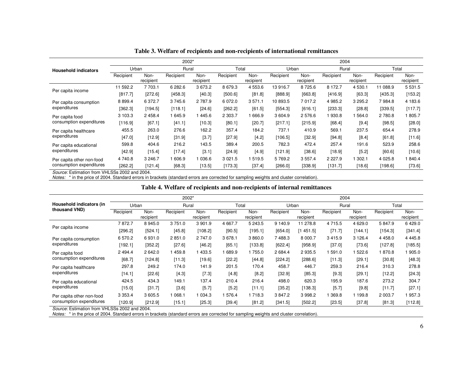|                             | 2002*     |                   |           |                   |           |                   | 2004      |                   |             |                   |           |                   |
|-----------------------------|-----------|-------------------|-----------|-------------------|-----------|-------------------|-----------|-------------------|-------------|-------------------|-----------|-------------------|
| <b>Household indicators</b> | Urban     |                   |           | Rural             | Total     |                   | Urban     |                   | Rural       |                   | Total     |                   |
|                             | Recipient | Non-<br>recipient | Recipient | Non-<br>recipient | Recipient | Non-<br>recipient | Recipient | Non-<br>recipient | Recipient   | Non-<br>recipient | Recipient | Non-<br>recipient |
| Per capita income           | 11 592.2  | 7 703.1           | 6 282.6   | 3 673.2           | 8 679.3   | 4 5 5 3.6         | 13 916.7  | 8725.6            | 8 172.7     | 4 530.1           | 11 088.9  | 5 5 3 1 .5        |
|                             | [817.7]   | [272.6]           | [458.3]   | [40.3]            | [500.6]   | [81.8]            | [888.9]   | [663.8]           | [416.9]     | [63.3]            | [435.3]   | [153.2]           |
| Per capita consumption      | 8 8 9 9.4 | 6 3 7 2.7         | 3745.6    | 2 787.9           | 6 0 72.0  | 3571.1            | 10 893.5  | 7 017.2           | 4 985.2     | 3 295.2           | 7984.8    | 4 183.6           |
| expenditures                | [362.3]   | [194.5]           | [118.1]   | [24.6]            | [262.2]   | [61.5]            | [554.3]   | [616.1]           | [233.3]     | [28.8]            | [339.5]   | [117.7]           |
| Per capita food             | 3 103.3   | 2 4 5 8.4         | 645.9     | 445.6             | 2 3 0 3.7 | 666.9             | 3 604.9   | 2 576.6           | 930.8       | 564.0             | 2 780.8   | 805.7             |
| consumption expenditures    | [116.9]   | [67.1]            | [41.1]    | [10.3]            | [80.1]    | [20.7]            | [217.1]   | [215.9]           | [68.4]      | [9.4]             | [98.5]    | [28.0]            |
| Per capita healthcare       | 455.5     | 263.0             | 276.6     | 162.2             | 357.4     | 184.2             | 737.1     | 410.9             | 569.1       | 237.5             | 654.4     | 278.9             |
| expenditures                | [47.0]    | [12.9]            | [31.9]    | [3.7]             | [27.9]    | $[4.2]$           | [106.5]   | [32.9]            | [94.8]      | $[8.4]$           | [61.8]    | [11.6]            |
| Per capita educational      | 599.8     | 404.6             | 216.2     | 143.5             | 389.4     | 200.5             | 782.3     | 472.4             | 257.4       | 191.6             | 523.9     | 258.6             |
| expenditures                | [42.9]    | [15.4]            | [17.4]    | [3.1]             | [24.9]    | $[4.9]$           | [121.9]   | [38.6]            | [18.9]      | $[5.2]$           | [60.6]    | $[10.6]$          |
| Per capita other non-food   | 4 740.8   | 3 2 4 6.7         | 606.9     | 036.6             | 3 0 21.5  | 519.5             | 5 769.2   | 3 5 5 7.4         | 2 2 2 7 . 9 | 302.1             | 4 0 25.8  | 840.4             |
| consumption expenditures    | [262.2]   | [121.4]           | [68.3]    | [13.5]            | [173.3]   | [37.4]            | [266.0]   | [338.9]           | [131.7]     | [18.6]            | [198.6]   | $[73.6]$          |

**Table 3. Welfare of recipients and non-recipients of international remittances** 

Source: Estimation from VHLSSs 2002 and 2004.

Notes: \* in the price of 2004. Standard errors in brackets (standard errors are corrected for sampling weights and cluster correlation).

#### **Table 4. Welfare of recipients and non-recipients of internal remittances**

|                                           | 2002*               |                     |           |                   |           |                   | 2004      |                   |             |                   |           |                   |
|-------------------------------------------|---------------------|---------------------|-----------|-------------------|-----------|-------------------|-----------|-------------------|-------------|-------------------|-----------|-------------------|
| Household indicators (in                  | Urban               |                     |           | Rural             | Total     |                   |           | Urban             |             | Rural             | Total     |                   |
| thousand VND)                             | Recipient           | Non-<br>recipient   | Recipient | Non-<br>recipient | Recipient | Non-<br>recipient | Recipient | Non-<br>recipient | Recipient   | Non-<br>recipient | Recipient | Non-<br>recipient |
|                                           | 7872.7              | 8945.0              | 3751.0    | 3 901.9           | 4 667.7   | 5 243.5           | 9 140.9   | 11 278.8          | 4 7 1 5 .5  | 4 6 29.0          | 5 847.9   | 6429.0            |
| Per capita income                         | [296.2]             | [524.1]             | [45.8]    | [108.2]           | [90.5]    | [195.1]           | [654.0]   | [1 451.5]         | [71.7]      | [144.1]           | [154.3]   | [341.4]           |
| Per capita consumption                    | 6 570.2             | 6931.0              | 2851.0    | 2 747.0           | 3678.1    | 3860.0            | 7488.3    | 8 000.7           | 3 4 1 5 . 9 | 3 1 2 6.4         | 4 4 5 8.0 | 4 4 4 5 .8        |
| expenditures                              | [192.1]             | [352.2]             | [27.6]    | [46.2]            | [65.1]    | [133.8]           | [622.4]   | [958.9]           | [37.0]      | [73.6]            | [127.8]   | $[185.5]$         |
| Per capita food                           | 2 4 9 4.4           | 2642.0              | 459.8     | 433.5             | 689.9     | 755.0             | 2 684.4   | 2935.5            | 591.0       | 522.6             | 870.8     | 905.0             |
| consumption expenditures                  | [68.7]              | [124.8]             | [11.3]    | [19.6]            | [22.2]    | [44.8]            | [224.2]   | [288.6]           | [11.3]      | [29.1]            | [30.8]    | [48.3]            |
| Per capita healthcare                     | 297.8               | 249.2               | 174.0     | 141.9             | 201.5     | 170.4             | 458.7     | 446.7             | 259.3       | 216.4             | 310.3     | 278.8             |
| expenditures                              | [14.1]              | [22.6]              | $[4.3]$   | $[7.3]$           | [4.8]     | [8.2]             | [32.9]    | [85.3]            | [9.3]       | [29.1]            | [12.2]    | [24.3]            |
| Per capita educational                    | 424.5               | 434.3               | 149.1     | 137.4             | 210.4     | 216.4             | 498.0     | 620.3             | 195.9       | 187.6             | 273.2     | 304.7             |
| expenditures                              | [15.0]              | [31.7]              | $[3.6]$   | [5.7]             | [5.2]     | [11.1]            | [35.2]    | [138.3]           | [5.7]       | [9.8]             | [11.7]    | [27.1]            |
| Per capita other non-food                 | 3 3 5 3 . 4         | 3 605.5             | 068.1     | 034.3             | 576.4     | 718.3             | 3 847.2   | 3 998.2           | 369.8       | 1 199.8           | 2 003.7   | 957.3             |
| consumption expenditures<br>-<br>1.011222 | [120.9]<br>$\cdots$ | [212.9]<br>$\cdots$ | [15.1]    | [25.3]            | [39.4]    | [81.2]            | [341.5]   | [502.2]           | [23.5]      | [37.8]            | [81.3]    | [112.8]           |

Source: Estimation from VHLSSs 2002 and 2004.

Notes: \* in the price of 2004. Standard errors in brackets (standard errors are corrected for sampling weights and cluster correlation).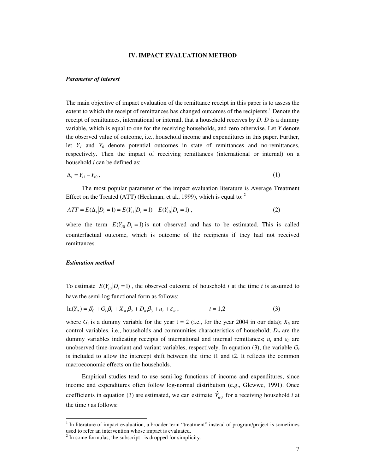#### **IV. IMPACT EVALUATION METHOD**

#### *Parameter of interest*

The main objective of impact evaluation of the remittance receipt in this paper is to assess the extent to which the receipt of remittances has changed outcomes of the recipients.<sup>1</sup> Denote the receipt of remittances, international or internal, that a household receives by *D*. *D* is a dummy variable, which is equal to one for the receiving households, and zero otherwise. Let *Y* denote the observed value of outcome, i.e., household income and expenditures in this paper. Further, let  $Y_I$  and  $Y_O$  denote potential outcomes in state of remittances and no-remittances, respectively. Then the impact of receiving remittances (international or internal) on a household *i* can be defined as:

$$
\Delta_i = Y_{i1} - Y_{i0} \,,\tag{1}
$$

The most popular parameter of the impact evaluation literature is Average Treatment Effect on the Treated (ATT) (Heckman, et al., 1999), which is equal to:  $2$ 

$$
ATT = E(\Delta_i | D_i = 1) = E(Y_{i1} | D_i = 1) - E(Y_{i0} | D_i = 1),
$$
\n(2)

where the term  $E(Y_{i0} | D_i = 1)$  is not observed and has to be estimated. This is called counterfactual outcome, which is outcome of the recipients if they had not received remittances.

#### *Estimation method*

To estimate  $E(Y_{i0} | D_i = 1)$ , the observed outcome of household *i* at the time *t* is assumed to have the semi-log functional form as follows:

$$
\ln(Y_{it}) = \beta_0 + G_t \beta_1 + X_{it} \beta_2 + D_{it} \beta_3 + u_i + \varepsilon_{it}, \qquad t = 1,2 \tag{3}
$$

where  $G_t$  is a dummy variable for the year  $t = 2$  (i.e., for the year 2004 in our data);  $X_{it}$  are control variables, i.e., households and communities characteristics of household;  $D_i$  are the dummy variables indicating receipts of international and internal remittances;  $u_i$  and  $\varepsilon_{it}$  are unobserved time-invariant and variant variables, respectively. In equation (3), the variable  $G_t$ is included to allow the intercept shift between the time t1 and t2. It reflects the common macroeconomic effects on the households.

Empirical studies tend to use semi-log functions of income and expenditures, since income and expenditures often follow log-normal distribution (e.g., Glewwe, 1991). Once coefficients in equation (3) are estimated, we can estimate  $\hat{Y}_{i\theta}$  for a receiving household *i* at the time *t* as follows:

<sup>&</sup>lt;sup>1</sup> In literature of impact evaluation, a broader term "treatment" instead of program/project is sometimes used to refer an intervention whose impact is evaluated.

 $2<sup>2</sup>$  In some formulas, the subscript i is dropped for simplicity.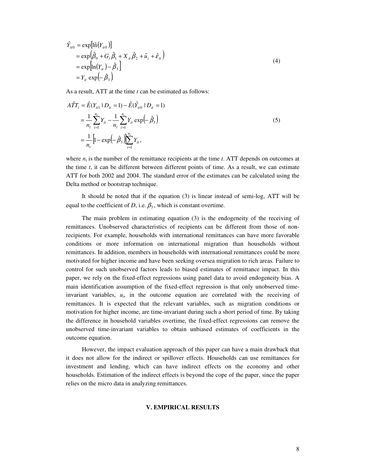$$
\hat{Y}_{ii0} = \exp\left[i\hat{n}(Y_{ii0})\right]
$$
\n
$$
= \exp\left(\hat{\beta}_0 + G_t \hat{\beta}_1 + X_{ii} \hat{\beta}_2 + \hat{u}_i + \hat{\varepsilon}_{ii}\right)
$$
\n
$$
= \exp\left[\ln(Y_{ii}) - \hat{\beta}_3\right]
$$
\n
$$
= Y_{ii} \exp\left(-\hat{\beta}_3\right)
$$
\n(4)

As a result, ATT at the time *t* can be estimated as follows:

$$
A\hat{T}T_{i} = \hat{E}(Y_{ii} | D_{ii} = 1) - \hat{E}(\hat{Y}_{ii0} | D_{ii} = 1)
$$
  
=  $\frac{1}{n_{i}} \sum_{i=1}^{n_{i}} Y_{ii} - \frac{1}{n_{i}} \sum_{i=1}^{n_{i}} Y_{ii} \exp(-\hat{\beta}_{3})$   
=  $\frac{1}{n_{i}} [1 - \exp(-\hat{\beta}_{3})] \sum_{i=1}^{n_{i}} Y_{ii},$  (5)

where  $n_t$  is the number of the remittance recipients at the time  $t$ . ATT depends on outcomes at the time *t*, it can be different between different points of time. As a result, we can estimate ATT for both 2002 and 2004. The standard error of the estimates can be calculated using the Delta method or bootstrap technique.

 It should be noted that if the equation (3) is linear instead of semi-log, ATT will be equal to the coefficient of *D*, i.e.  $\beta_3$ , which is constant overtime.

The main problem in estimating equation (3) is the endogeneity of the receiving of remittances. Unobserved characteristics of recipients can be different from those of nonrecipients. For example, households with international remittances can have more favorable conditions or more information on international migration than households without remittances. In addition, members in households with international remittances could be more motivated for higher income and have been seeking oversea migration to rich areas. Failure to control for such unobserved factors leads to biased estimates of remittance impact. In this paper, we rely on the fixed-effect regressions using panel data to avoid endogeneity bias. A main identification assumption of the fixed-effect regression is that only unobserved timeinvariant variables,  $u_i$ , in the outcome equation are correlated with the receiving of remittances. It is expected that the relevant variables, such as migration conditions or motivation for higher income, are time-invariant during such a short period of time. By taking the difference in household variables overtime, the fixed-effect regressions can remove the unobserved time-invariant variables to obtain unbiased estimates of coefficients in the outcome equation.

However, the impact evaluation approach of this paper can have a main drawback that it does not allow for the indirect or spillover effects. Households can use remittances for investment and lending, which can have indirect effects on the economy and other households. Estimation of the indirect effects is beyond the cope of the paper, since the paper relies on the micro data in analyzing remittances.

#### **V. EMPIRICAL RESULTS**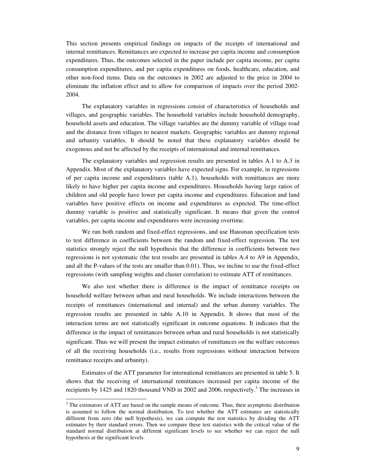This section presents empirical findings on impacts of the receipts of international and internal remittances. Remittances are expected to increase per capita income and consumption expenditures. Thus, the outcomes selected in the paper include per capita income, per capita consumption expenditures, and per capita expenditures on foods, healthcare, education, and other non-food items. Data on the outcomes in 2002 are adjusted to the price in 2004 to eliminate the inflation effect and to allow for comparison of impacts over the period 2002- 2004.

 The explanatory variables in regressions consist of characteristics of households and villages, and geographic variables. The household variables include household demography, household assets and education. The village variables are the dummy variable of village road and the distance from villages to nearest markets. Geographic variables are dummy regional and urbanity variables. It should be noted that these explanatory variables should be exogenous and not be affected by the receipts of international and internal remittances.

The explanatory variables and regression results are presented in tables A.1 to A.3 in Appendix. Most of the explanatory variables have expected signs. For example, in regressions of per capita income and expenditures (table A.1), households with remittances are more likely to have higher per capita income and expenditures. Households having large ratios of children and old people have lower per capita income and expenditures. Education and land variables have positive effects on income and expenditures as expected. The time-effect dummy variable is positive and statistically significant. It means that given the control variables, per capita income and expenditures were increasing overtime.

We run both random and fixed-effect regressions, and use Hausman specification tests to test difference in coefficients between the random and fixed-effect regression. The test statistics strongly reject the null hypothesis that the difference in coefficients between two regressions is not systematic (the test results are presented in tables A.4 to A9 in Appendix, and all the P-values of the tests are smaller than 0.01). Thus, we incline to use the fixed-effect regressions (with sampling weights and cluster correlation) to estimate ATT of remittances.

We also test whether there is difference in the impact of remittance receipts on household welfare between urban and rural households. We include interactions between the receipts of remittances (international and internal) and the urban dummy variables. The regression results are presented in table A.10 in Appendix. It shows that most of the interaction terms are not statistically significant in outcome equations. It indicates that the difference in the impact of remittances between urban and rural households is not statistically significant. Thus we will present the impact estimates of remittances on the welfare outcomes of all the receiving households (i.e., results from regressions without interaction between remittance receipts and urbanity).

Estimates of the ATT parameter for international remittances are presented in table 5. It shows that the receiving of international remittances increased per capita income of the recipients by 1425 and 1820 thousand VND in 2002 and 2006, respectively.<sup>3</sup> The increases in

<sup>&</sup>lt;sup>3</sup> The estimators of ATT are based on the sample means of outcome. Thus, their asymptotic distribution is assumed to follow the normal distribution. To test whether the ATT estimates are statistically different from zero (the null hypothesis), we can compute the test statistics by dividing the ATT estimates by their standard errors. Then we compare these test statistics with the critical value of the standard normal distribution at different significant levels to see whether we can reject the null hypothesis at the significant levels.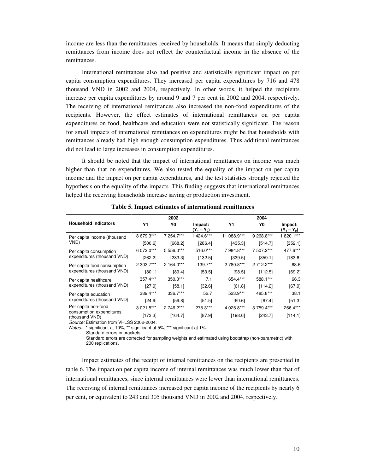income are less than the remittances received by households. It means that simply deducting remittances from income does not reflect the counterfactual income in the absence of the remittances.

 International remittances also had positive and statistically significant impact on per capita consumption expenditures. They increased per capita expenditures by 716 and 478 thousand VND in 2002 and 2004, respectively. In other words, it helped the recipients increase per capita expenditures by around 9 and 7 per cent in 2002 and 2004, respectively. The receiving of international remittances also increased the non-food expenditures of the recipients. However, the effect estimates of international remittances on per capita expenditures on food, healthcare and education were not statistically significant. The reason for small impacts of international remittances on expenditures might be that households with remittances already had high enough consumption expenditures. Thus additional remittances did not lead to large increases in consumption expenditures.

 It should be noted that the impact of international remittances on income was much higher than that on expenditures. We also tested the equality of the impact on per capita income and the impact on per capita expenditures, and the test statistics strongly rejected the hypothesis on the equality of the impacts. This finding suggests that international remittances helped the receiving households increase saving or production investment.

|                                            |            | 2002       |                          |             | 2004       |                          |
|--------------------------------------------|------------|------------|--------------------------|-------------|------------|--------------------------|
| <b>Household indicators</b>                | Y1         | Y0         | Impact:<br>$(Y_1 - Y_0)$ | Υ1          | Y0         | Impact:<br>$(Y_1 - Y_0)$ |
| Per capita income (thousand                | 8 679.3*** | 7 254.7*** | 1424.6***                | 11 088.9*** | 9 268.8*** | 1 820.1***               |
| VND)                                       | [500.6]    | [668.2]    | [286.4]                  | [435.3]     | [514.7]    | [352.1]                  |
| Per capita consumption                     | 6 072.0*** | 5 556.0*** | 516.0***                 | 7 984.8***  | 7 507.2*** | 477.6***                 |
| expenditures (thousand VND)                | [262.2]    | [283.3]    | [132.5]                  | [339.5]     | [359.1]    | [183.6]                  |
| Per capita food consumption                | 2 303.7*** | 2 164.0*** | 139.7**                  | 2 780.8***  | 2 712.2*** | 68.6                     |
| expenditures (thousand VND)                | [80.1]     | [89.4]     | [53.5]                   | [98.5]      | [112.5]    | [69.2]                   |
| Per capita healthcare                      | 357.4***   | 350.3***   | 7.1                      | 654.4***    | 588.1***   | 66.3                     |
| expenditures (thousand VND)                | [27.9]     | [58.1]     | $[32.6]$                 | [61.8]      | [114.2]    | [67.9]                   |
| Per capita education                       | 389.4***   | 336.7***   | 52.7                     | 523.9***    | 485.8***   | 38.1                     |
| expenditures (thousand VND)                | [24.9]     | [59.8]     | [51.5]                   | [60.6]      | [67.4]     | [51.3]                   |
| Per capita non-food                        | 3 021.5*** | 2 746.2*** | 275.3***                 | 4 025.8***  | 3 759.4*** | 266.4***                 |
| consumption expenditures<br>(thousand VND) | [173.3]    | [164.7]    | [87.9]                   | [198.6]     | [243.7]    | [114.1]                  |
| Source: Estimation from VHLSS 2002-2004.   |            |            |                          |             |            |                          |

**Table 5. Impact estimates of international remittances** 

Notes: \* significant at 10%; \*\* significant at 5%; \*\*\* significant at 1%.

Standard errors in brackets.

Standard errors are corrected for sampling weights and estimated using bootstrap (non-parametric) with 200 replications.

Impact estimates of the receipt of internal remittances on the recipients are presented in table 6. The impact on per capita income of internal remittances was much lower than that of international remittances, since internal remittances were lower than international remittances. The receiving of internal remittances increased per capita income of the recipients by nearly 6 per cent, or equivalent to 243 and 305 thousand VND in 2002 and 2004, respectively.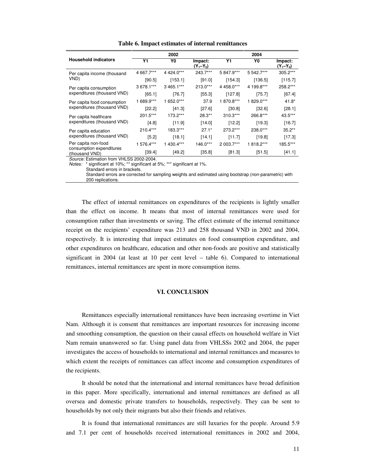|                                            |            | 2002        |                          |            | 2004       |                          |
|--------------------------------------------|------------|-------------|--------------------------|------------|------------|--------------------------|
| <b>Household indicators</b>                | Y1         | Y0          | Impact:<br>$(Y_1 - Y_0)$ | Υ1         | Y0         | Impact:<br>$(Y_1 - Y_0)$ |
| Per capita income (thousand                | 4 667.7*** | 4 4 24 0*** | 243.7***                 | 5 847.9*** | 5 542.7*** | 305.2***                 |
| VND)                                       | [90.5]     | [153.1]     | [91.0]                   | [154.3]    | [136.5]    | [115.7]                  |
| Per capita consumption                     | 3 678.1*** | 3 465.1***  | $213.0***$               | 4 458.0*** | 4 199.8*** | 258.2***                 |
| expenditures (thousand VND)                | [65.1]     | [76.7]      | [55.3]                   | [127.8]    | [75.7]     | [67.4]                   |
| Per capita food consumption                | 1 689.9*** | 1 652.0***  | 37.9                     | 1870.8***  | 1829.0***  | $41.8*$                  |
| expenditures (thousand VND)                | [22.2]     | [41.3]      | [27.6]                   | [30.8]     | [32.6]     | [28.1]                   |
| Per capita healthcare                      | 201.5***   | 173.2***    | 28.3**                   | 310.3***   | 266.8***   | 43.5***                  |
| expenditures (thousand VND)                | [4.8]      | [11.9]      | [14.0]                   | [12.2]     | [19.3]     | [16.7]                   |
| Per capita education                       | $210.4***$ | 183.3***    | $27.1*$                  | 273.2***   | 238.0***   | $35.2**$                 |
| expenditures (thousand VND)                | [5.2]      | [18.1]      | [14.1]                   | [11.7]     | [19.8]     | [17.3]                   |
| Per capita non-food                        | 1 576.4*** | 1 430.4***  | 146.0***                 | 2 003.7*** | 1818.2***  | 185.5***                 |
| consumption expenditures<br>(thousand VND) | [39.4]     | [49.2]      | [35.8]                   | [81.3]     | [51.5]     | [41.1]                   |

**Table 6. Impact estimates of internal remittances** 

Source: Estimation from VHLSS 2002-2004.<br>Notes: \* significant at 10%; \*\* significant at \* significant at 10%; \*\* significant at 5%; \*\*\* significant at 1%.

Standard errors in brackets.

Standard errors are corrected for sampling weights and estimated using bootstrap (non-parametric) with 200 replications.

The effect of internal remittances on expenditures of the recipients is lightly smaller than the effect on income. It means that most of internal remittances were used for consumption rather than investments or saving. The effect estimate of the internal remittance receipt on the recipients' expenditure was 213 and 258 thousand VND in 2002 and 2004, respectively. It is interesting that impact estimates on food consumption expenditure, and other expenditures on healthcare, education and other non-foods are positive and statistically significant in  $2004$  (at least at 10 per cent level – table 6). Compared to international remittances, internal remittances are spent in more consumption items.

#### **VI. CONCLUSION**

Remittances especially international remittances have been increasing overtime in Viet Nam. Although it is consent that remittances are important resources for increasing income and smoothing consumption, the question on their causal effects on household welfare in Viet Nam remain unanswered so far. Using panel data from VHLSSs 2002 and 2004, the paper investigates the access of households to international and internal remittances and measures to which extent the receipts of remittances can affect income and consumption expenditures of the recipients.

It should be noted that the international and internal remittances have broad definition in this paper. More specifically, international and internal remittances are defined as all oversea and domestic private transfers to households, respectively. They can be sent to households by not only their migrants but also their friends and relatives.

It is found that international remittances are still luxuries for the people. Around 5.9 and 7.1 per cent of households received international remittances in 2002 and 2004,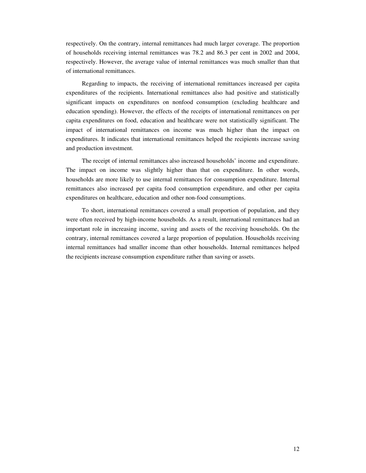respectively. On the contrary, internal remittances had much larger coverage. The proportion of households receiving internal remittances was 78.2 and 86.3 per cent in 2002 and 2004, respectively. However, the average value of internal remittances was much smaller than that of international remittances.

Regarding to impacts, the receiving of international remittances increased per capita expenditures of the recipients. International remittances also had positive and statistically significant impacts on expenditures on nonfood consumption (excluding healthcare and education spending). However, the effects of the receipts of international remittances on per capita expenditures on food, education and healthcare were not statistically significant. The impact of international remittances on income was much higher than the impact on expenditures. It indicates that international remittances helped the recipients increase saving and production investment.

The receipt of internal remittances also increased households' income and expenditure. The impact on income was slightly higher than that on expenditure. In other words, households are more likely to use internal remittances for consumption expenditure. Internal remittances also increased per capita food consumption expenditure, and other per capita expenditures on healthcare, education and other non-food consumptions.

 To short, international remittances covered a small proportion of population, and they were often received by high-income households. As a result, international remittances had an important role in increasing income, saving and assets of the receiving households. On the contrary, internal remittances covered a large proportion of population. Households receiving internal remittances had smaller income than other households. Internal remittances helped the recipients increase consumption expenditure rather than saving or assets.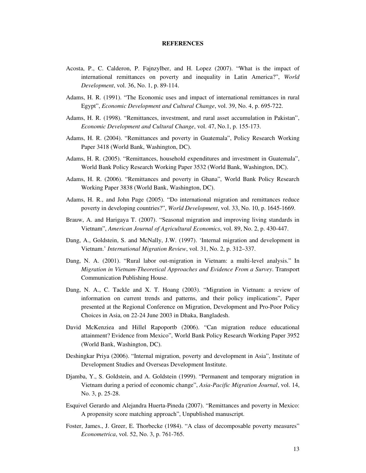#### **REFERENCES**

- Acosta, P., C. Calderon, P. Fajnzylber, and H. Lopez (2007). "What is the impact of international remittances on poverty and inequality in Latin America?", *World Development*, vol. 36, No. 1, p. 89-114.
- Adams, H. R. (1991). "The Economic uses and impact of international remittances in rural Egypt", *Economic Development and Cultural Change*, vol. 39, No. 4, p. 695-722.
- Adams, H. R. (1998). "Remittances, investment, and rural asset accumulation in Pakistan", *Economic Development and Cultural Change*, vol. 47, No.1, p. 155-173.
- Adams, H. R. (2004). "Remittances and poverty in Guatemala", Policy Research Working Paper 3418 (World Bank, Washington, DC).
- Adams, H. R. (2005). "Remittances, household expenditures and investment in Guatemala", World Bank Policy Research Working Paper 3532 (World Bank, Washington, DC).
- Adams, H. R. (2006). "Remittances and poverty in Ghana", World Bank Policy Research Working Paper 3838 (World Bank, Washington, DC).
- Adams, H. R., and John Page (2005). "Do international migration and remittances reduce poverty in developing countries?", *World Development*, vol. 33, No. 10, p. 1645-1669.
- Brauw, A. and Harigaya T. (2007). "Seasonal migration and improving living standards in Vietnam", *American Journal of Agricultural Economics*, vol. 89, No. 2, p. 430-447.
- Dang, A., Goldstein, S. and McNally, J.W. (1997). 'Internal migration and development in Vietnam.' *International Migration Review*, vol. 31, No. 2, p. 312–337.
- Dang, N. A. (2001). "Rural labor out-migration in Vietnam: a multi-level analysis." In *Migration in Vietnam-Theoretical Approaches and Evidence From a Survey*. Transport Communication Publishing House.
- Dang, N. A., C. Tackle and X. T. Hoang (2003). "Migration in Vietnam: a review of information on current trends and patterns, and their policy implications", Paper presented at the Regional Conference on Migration, Development and Pro-Poor Policy Choices in Asia, on 22-24 June 2003 in Dhaka, Bangladesh.
- David McKenziea and Hillel Rapoportb (2006). "Can migration reduce educational attainment? Evidence from Mexico", World Bank Policy Research Working Paper 3952 (World Bank, Washington, DC).
- Deshingkar Priya (2006). "Internal migration, poverty and development in Asia", Institute of Development Studies and Overseas Development Institute.
- Djamba, Y., S. Goldstein, and A. Goldstein (1999). "Permanent and temporary migration in Vietnam during a period of economic change", *Asia-Pacific Migration Journal*, vol. 14, No. 3, p. 25-28.
- Esquivel Gerardo and Alejandra Huerta-Pineda (2007). "Remittances and poverty in Mexico: A propensity score matching approach", Unpublished manuscript.
- Foster, James., J. Greer, E. Thorbecke (1984). "A class of decomposable poverty measures" *Econometrica*, vol. 52, No. 3, p. 761-765.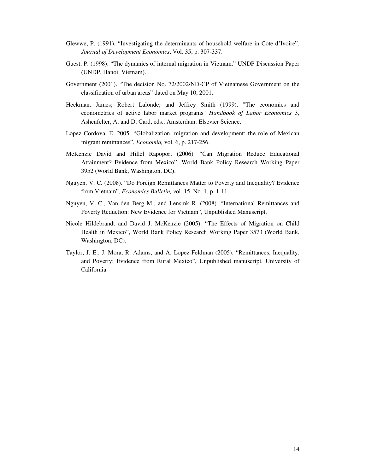- Glewwe, P. (1991). "Investigating the determinants of household welfare in Cote d'Ivoire", *Journal of Development Economics*, Vol. 35, p. 307-337.
- Guest, P. (1998). "The dynamics of internal migration in Vietnam." UNDP Discussion Paper (UNDP, Hanoi, Vietnam).
- Government (2001). "The decision No. 72/2002/ND-CP of Vietnamese Government on the classification of urban areas" dated on May 10, 2001.
- Heckman, James; Robert Lalonde; and Jeffrey Smith (1999). "The economics and econometrics of active labor market programs" *Handbook of Labor Economics* 3, Ashenfelter, A. and D. Card, eds., Amsterdam: Elsevier Science.
- Lopez Cordova, E. 2005. "Globalization, migration and development: the role of Mexican migrant remittances", *Economia,* vol. 6, p. 217-256.
- McKenzie David and Hillel Rapoport (2006). "Can Migration Reduce Educational Attainment? Evidence from Mexico", World Bank Policy Research Working Paper 3952 (World Bank, Washington, DC).
- Nguyen, V. C. (2008). "Do Foreign Remittances Matter to Poverty and Inequality? Evidence from Vietnam", *Economics Bulletin, v*ol. 15, No. 1, p. 1-11.
- Nguyen, V. C., Van den Berg M., and Lensink R. (2008). "International Remittances and Poverty Reduction: New Evidence for Vietnam", Unpublished Manuscript.
- Nicole Hildebrandt and David J. McKenzie (2005). "The Effects of Migration on Child Health in Mexico", World Bank Policy Research Working Paper 3573 (World Bank, Washington, DC).
- Taylor, J. E., J. Mora, R. Adams, and A. Lopez-Feldman (2005). "Remittances, Inequality, and Poverty: Evidence from Rural Mexico", Unpublished manuscript, University of California.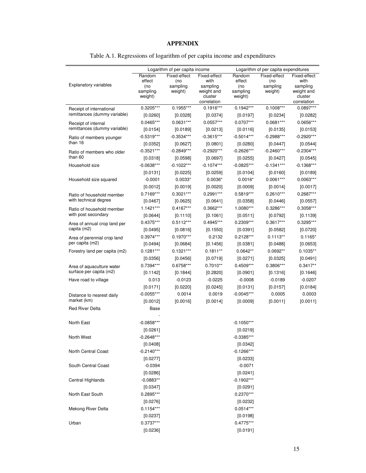## **APPENDIX**

|                                                          |               | Logarithm of per capita income |                  |               | Logarithm of per capita expenditures |                  |
|----------------------------------------------------------|---------------|--------------------------------|------------------|---------------|--------------------------------------|------------------|
|                                                          | Random        | Fixed-effect                   | Fixed-effect     | Random        | Fixed-effect                         | Fixed-effect     |
| <b>Explanatory variables</b>                             | effect<br>(no | (no<br>sampling                | with<br>sampling | effect<br>(no | (no<br>sampling                      | with<br>sampling |
|                                                          | sampling      | weight)                        | weight and       | sampling      | weight)                              | weight and       |
|                                                          | weight)       |                                | cluster          | weight)       |                                      | cluster          |
|                                                          |               |                                | correlation      |               |                                      | correlation      |
| Receipt of international<br>remittances (dummy variable) | $0.3205***$   | $0.1955***$                    | $0.1916***$      | $0.1942***$   | $0.1008***$                          | 0.0897***        |
|                                                          | [0.0260]      | [0.0328]                       | [0.0374]         | [0.0197]      | [0.0234]                             | [0.0282]         |
| Receipt of internal                                      | $0.0465***$   | $0.0631***$                    | 0.0557***        | $0.0707***$   | $0.0681***$                          | 0.0656***        |
| remittances (dummy variable)                             | [0.0154]      | [0.0189]                       | [0.0213]         | [0.0116]      | [0.0135]                             | [0.0153]         |
| Ratio of members younger                                 | $-0.5319***$  | $-0.3534***$                   | $-0.3615***$     | $-0.5014***$  | $-0.2988***$                         | $-0.2920***$     |
| than 16                                                  | [0.0352]      | [0.0627]                       | [0.0801]         | [0.0280]      | [0.0447]                             | [0.0544]         |
| Ratio of members who older                               | $-0.3521***$  | $-0.2849***$                   | $-0.2920***$     | $-0.2626***$  | $-0.2460***$                         | $-0.2304***$     |
| than 60                                                  | [0.0318]      | [0.0598]                       | [0.0697]         | [0.0255]      | [0.0427]                             | [0.0545]         |
| Household size                                           | $-0.0638***$  | $-0.1022***$                   | $-0.1074***$     | $-0.0825***$  | $-0.1341***$                         | $-0.1368***$     |
|                                                          | [0.0131]      | [0.0225]                       | [0.0259]         | [0.0104]      | [0.0160]                             | [0.0189]         |
| Household size squared                                   | $-0.0001$     | $0.0033*$                      | $0.0036*$        | $0.0016*$     | $0.0061***$                          | $0.0063***$      |
|                                                          | [0.0012]      | [0.0019]                       | [0.0020]         | [0.0009]      | [0.0014]                             | [0.0017]         |
| Ratio of household member                                | $0.7169***$   | 0.3021***                      | 0.2991 ***       | $0.5819***$   | $0.2610***$                          | 0.2687***        |
| with technical degree                                    | [0.0467]      | [0.0625]                       | [0.0641]         | [0.0358]      | [0.0446]                             | [0.0557]         |
| Ratio of household member                                | 1.1421***     | $0.4167***$                    | 0.3662***        | 1.0080***     | 0.3286***                            | 0.3058***        |
| with post secondary                                      | [0.0644]      | [0.1110]                       | [0.1061]         | [0.0511]      | [0.0792]                             | [0.1139]         |
| Area of annual crop land per                             | $0.4375***$   | $0.5112***$                    | $0.4945***$      | 0.2309***     | 0.3617***                            | 0.3295***        |
| capita (m2)                                              | [0.0495]      | [0.0816]                       | [0.1550]         | [0.0391]      | [0.0582]                             | [0.0720]         |
| Area of perennial crop land                              | $0.3974***$   | $0.1970***$                    | 0.2132           | $0.2128***$   | $0.1113**$                           | $0.1165*$        |
| per capita (m2)                                          | [0.0494]      | [0.0684]                       | [0.1456]         | [0.0381]      | [0.0488]                             | [0.0653]         |
| Forestry land per capita (m2)                            | $0.1281***$   | $0.1321***$                    | $0.1811**$       | $0.0642**$    | 0.0692**                             | $0.1035**$       |
|                                                          | [0.0356]      | [0.0456]                       | [0.0719]         | [0.0271]      | [0.0325]                             | [0.0491]         |
| Area of aquaculture water                                | 0.7394***     | $0.6758***$                    | $0.7010**$       | 0.4509***     | 0.3806***                            | $0.3417**$       |
| surface per capita (m2)                                  | [0.1142]      | [0.1844]                       | [0.2820]         | [0.0901]      | [0.1316]                             | [0.1646]         |
| Have road to village                                     | 0.013         | $-0.0123$                      | $-0.0225$        | $-0.0008$     | $-0.0189$                            | $-0.0207$        |
|                                                          | [0.0171]      | [0.0220]                       | [0.0245]         | [0.0131]      | [0.0157]                             | [0.0184]         |
| Distance to nearest daily                                | $-0.0055***$  | 0.0014                         | 0.0019           | $-0.0045***$  | 0.0005                               | 0.0003           |
| market (km)                                              | [0.0012]      | [0.0016]                       | [0.0014]         | [0.0009]      | [0.0011]                             | [0.0011]         |
| <b>Red River Delta</b>                                   | Base          |                                |                  |               |                                      |                  |
|                                                          |               |                                |                  |               |                                      |                  |
| North East                                               | $-0.0858***$  |                                |                  | $-0.1050***$  |                                      |                  |
|                                                          | [0.0261]      |                                |                  | [0.0219]      |                                      |                  |
| North West                                               | $-0.2648***$  |                                |                  | $-0.3385***$  |                                      |                  |
|                                                          | [0.0408]      |                                |                  | [0.0342]      |                                      |                  |
| North Central Coast                                      | $-0.2140***$  |                                |                  | $-0.1266***$  |                                      |                  |
|                                                          | [0.0277]      |                                |                  | [0.0233]      |                                      |                  |
| South Central Coast                                      | $-0.0394$     |                                |                  | $-0.0071$     |                                      |                  |
|                                                          | [0.0286]      |                                |                  | [0.0241]      |                                      |                  |
| Central Highlands                                        | $-0.0883**$   |                                |                  | $-0.1902***$  |                                      |                  |
|                                                          | [0.0347]      |                                |                  | [0.0291]      |                                      |                  |
| North East South                                         | 0.2895***     |                                |                  | $0.2370***$   |                                      |                  |
|                                                          | [0.0276]      |                                |                  | [0.0232]      |                                      |                  |
| Mekong River Delta                                       | $0.1154***$   |                                |                  | $0.0514***$   |                                      |                  |
|                                                          | [0.0237]      |                                |                  | [0.0198]      |                                      |                  |
| Urban                                                    | $0.3737***$   |                                |                  | $0.4775***$   |                                      |                  |
|                                                          | [0.0236]      |                                |                  | [0.0191]      |                                      |                  |
|                                                          |               |                                |                  |               |                                      |                  |

## Table A.1. Regressions of logarithm of per capita income and expenditures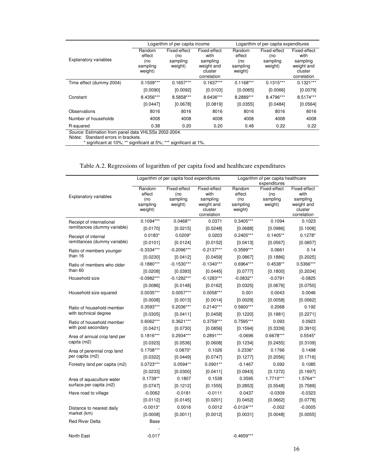|                                                      |                                                | Logarithm of per capita income             |                                                                          |                                                | Logarithm of per capita expenditures       |                                                                          |  |  |
|------------------------------------------------------|------------------------------------------------|--------------------------------------------|--------------------------------------------------------------------------|------------------------------------------------|--------------------------------------------|--------------------------------------------------------------------------|--|--|
| <b>Explanatory variables</b>                         | Random<br>effect<br>(no<br>sampling<br>weight) | Fixed-effect<br>(no<br>sampling<br>weight) | Fixed-effect<br>with<br>sampling<br>weight and<br>cluster<br>correlation | Random<br>effect<br>(no<br>sampling<br>weight) | Fixed-effect<br>(no<br>sampling<br>weight) | Fixed-effect<br>with<br>sampling<br>weight and<br>cluster<br>correlation |  |  |
| Time effect (dummy 2004)                             | $0.1509***$                                    | $0.1657***$                                | $0.1637***$                                                              | $0.1168***$                                    | $0.1315***$                                | $0.1321***$                                                              |  |  |
|                                                      | [0.0090]                                       | [0.0092]                                   | [0.0103]                                                                 | [0.0065]                                       | [0.0066]                                   | [0.0079]                                                                 |  |  |
| Constant                                             | 8.4356***                                      | 8.5858***                                  | 8.6436***                                                                | 8.2889***                                      | 8.4796***                                  | 8.5174***                                                                |  |  |
|                                                      | [0.0447]                                       | [0.0678]                                   | [0.0819]                                                                 | [0.0355]                                       | [0.0484]                                   | [0.0564]                                                                 |  |  |
| Observations                                         | 8016                                           | 8016                                       | 8016                                                                     | 8016                                           | 8016                                       | 8016                                                                     |  |  |
| Number of households                                 | 4008                                           | 4008                                       | 4008                                                                     | 4008                                           | 4008                                       | 4008                                                                     |  |  |
| R-squared                                            | 0.38                                           | 0.20                                       | 0.20                                                                     | 0.48                                           | 0.22                                       | 0.22                                                                     |  |  |
| Source: Estimation from panel data VHLSSs 2002-2004. |                                                |                                            |                                                                          |                                                |                                            |                                                                          |  |  |

Notes: Standard errors in brackets.

\* significant at 10%; \*\* significant at 5%; \*\*\* significant at 1%.

## Table A.2. Regressions of logarithm of per capita food and healthcare expenditures

|                               |                  | Logarithm of per capita food expenditures |                        |                  | Logarithm of per capita healthcare |                        |
|-------------------------------|------------------|-------------------------------------------|------------------------|------------------|------------------------------------|------------------------|
|                               |                  |                                           |                        |                  | expenditures                       |                        |
|                               | Random<br>effect | Fixed-effect<br>(no                       | Fixed-effect<br>with   | Random<br>effect | Fixed-effect<br>(no                | Fixed-effect<br>with   |
| <b>Explanatory variables</b>  | (no              | sampling                                  | sampling               | (no              | sampling                           | sampling               |
|                               | sampling         | weight)                                   | weight and             | sampling         | weight)                            | weight and             |
|                               | weight)          |                                           | cluster<br>correlation | weight)          |                                    | cluster<br>correlation |
| Receipt of international      | $0.1094***$      | $0.0468**$                                | 0.0371                 | $0.3405***$      | 0.1094                             | 0.1023                 |
| remittances (dummy variable)  | [0.0170]         | [0.0215]                                  | [0.0248]               | [0.0688]         | [0.0986]                           | [0.1008]               |
| Receipt of internal           | $0.0183*$        | $0.0209*$                                 | 0.0203                 | $0.2405***$      | $0.1405**$                         | $0.1278*$              |
| remittances (dummy variable)  | [0.0101]         | [0.0124]                                  | [0.0152]               | [0.0413]         | [0.0567]                           | [0.0657]               |
| Ratio of members younger      | $-0.3334***$     | $-0.2096***$                              | $-0.2137***$           | $-0.3599***$     | 0.0661                             | 0.14                   |
| than 16                       | [0.0230]         | [0.0412]                                  | [0.0459]               | [0.0867]         | [0.1886]                           | [0.2025]               |
| Ratio of members who older    | $-0.1880***$     | $-0.1530***$                              | $-0.1340***$           | 0.6964***        | $0.4538**$                         | 0.5366***              |
| than 60                       | [0.0208]         | [0.0393]                                  | [0.0445]               | [0.0777]         | [0.1800]                           | [0.2034]               |
| Household size                | $-0.0982***$     | $-0.1292***$                              | $-0.1283***$           | $-0.0832**$      | $-0.0791$                          | $-0.0825$              |
|                               | [0.0086]         | [0.0148]                                  | [0.0162]               | [0.0325]         | [0.0676]                           | [0.0750]               |
| Household size squared        | $0.0035***$      | $0.0057***$                               | $0.0058***$            | 0.001            | 0.0043                             | 0.0046                 |
|                               | [0.0008]         | [0.0013]                                  | [0.0014]               | [0.0029]         | [0.0058]                           | [0.0062]               |
| Ratio of household member     | 0.3593***        | 0.2036***                                 | $0.2140***$            | $0.5600***$      | 0.2068                             | 0.192                  |
| with technical degree         | [0.0305]         | [0.0411]                                  | [0.0458]               | [0.1220]         | [0.1881]                           | [0.2271]               |
| Ratio of household member     | $0.6062***$      | 0.3621***                                 | $0.3759***$            | $0.7595***$      | 0.093                              | 0.0923                 |
| with post secondary           | [0.0421]         | [0.0730]                                  | [0.0856]               | [0.1594]         | [0.3339]                           | [0.3910]               |
| Area of annual crop land per  | $0.1816***$      | 0.2934***                                 | $0.2891***$            | $-0.0696$        | $0.6678***$                        | $0.5545*$              |
| capita (m2)                   | [0.0323]         | [0.0536]                                  | [0.0608]               | [0.1234]         | [0.2455]                           | [0.3109]               |
| Area of perennial crop land   | $0.1708***$      | $0.0870*$                                 | 0.1026                 | $0.2336*$        | 0.1766                             | 0.1498                 |
| per capita (m2)               | [0.0322]         | [0.0449]                                  | [0.0747]               | [0.1277]         | [0.2056]                           | [0.1716]               |
| Forestry land per capita (m2) | $0.0723***$      | $0.0594**$                                | $0.0901**$             | $-0.1467$        | 0.092                              | 0.1085                 |
|                               | [0.0233]         | [0.0300]                                  | [0.0411]               | [0.0943]         | [0.1372]                           | [0.1697]               |
| Area of aquaculture water     | $0.1739**$       | 0.1807                                    | 0.1538                 | 0.3595           | $1.7710***$                        | 1.5764**               |
| surface per capita (m2)       | [0.0747]         | [0.1212]                                  | [0.1555]               | [0.2853]         | [0.5548]                           | [0.7589]               |
| Have road to village          | $-0.0062$        | $-0.0181$                                 | $-0.0111$              | 0.0437           | $-0.0309$                          | $-0.0323$              |
|                               | [0.0112]         | [0.0145]                                  | [0.0201]               | [0.0452]         | [0.0662]                           | [0.0778]               |
| Distance to nearest daily     | $-0.0013*$       | 0.0016                                    | 0.0012                 | $-0.0124***$     | $-0.002$                           | $-0.0005$              |
| market (km)                   | [0.0008]         | [0.0011]                                  | [0.0012]               | [0.0031]         | [0.0048]                           | [0.0055]               |
| <b>Red River Delta</b>        | Base             |                                           |                        |                  |                                    |                        |
|                               |                  |                                           |                        |                  |                                    |                        |
| North East                    | $-0.017$         |                                           |                        | $-0.4659***$     |                                    |                        |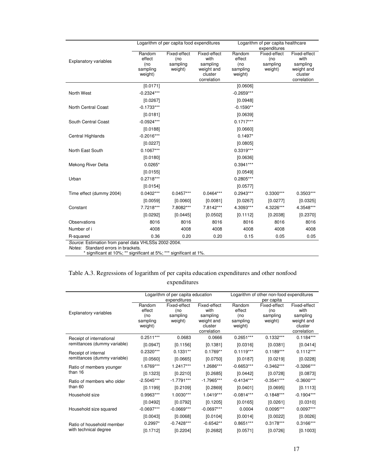|                                                     |               | Logarithm of per capita food expenditures |                  |               | Logarithm of per capita healthcare |                  |  |  |
|-----------------------------------------------------|---------------|-------------------------------------------|------------------|---------------|------------------------------------|------------------|--|--|
|                                                     |               |                                           |                  |               | expenditures                       |                  |  |  |
|                                                     | Random        | Fixed-effect                              | Fixed-effect     | Random        | Fixed-effect                       | Fixed-effect     |  |  |
| <b>Explanatory variables</b>                        | effect<br>(no | (no<br>sampling                           | with<br>sampling | effect<br>(no | (no<br>sampling                    | with<br>sampling |  |  |
|                                                     | sampling      | weight)                                   | weight and       | sampling      | weight)                            | weight and       |  |  |
|                                                     | weight)       |                                           | cluster          | weight)       |                                    | cluster          |  |  |
|                                                     |               |                                           | correlation      |               |                                    | correlation      |  |  |
|                                                     | [0.0171]      |                                           |                  | [0.0606]      |                                    |                  |  |  |
| North West                                          | $-0.2324***$  |                                           |                  | $-0.2659***$  |                                    |                  |  |  |
|                                                     | [0.0267]      |                                           |                  | [0.0948]      |                                    |                  |  |  |
| North Central Coast                                 | $-0.1733***$  |                                           |                  | $-0.1590**$   |                                    |                  |  |  |
|                                                     | [0.0181]      |                                           |                  | [0.0639]      |                                    |                  |  |  |
| South Central Coast                                 | $-0.0924***$  |                                           |                  | $0.1717***$   |                                    |                  |  |  |
|                                                     | [0.0188]      |                                           |                  | [0.0660]      |                                    |                  |  |  |
| Central Highlands                                   | $-0.2016***$  |                                           |                  | $0.1497*$     |                                    |                  |  |  |
|                                                     | [0.0227]      |                                           |                  | [0.0805]      |                                    |                  |  |  |
| North East South                                    | $0.1067***$   |                                           |                  | $0.3319***$   |                                    |                  |  |  |
|                                                     | [0.0180]      |                                           |                  | [0.0636]      |                                    |                  |  |  |
| Mekong River Delta                                  | $0.0265*$     |                                           |                  | $0.3941***$   |                                    |                  |  |  |
|                                                     | [0.0155]      |                                           |                  | [0.0549]      |                                    |                  |  |  |
| Urban                                               | $0.2718***$   |                                           |                  | 0.2805***     |                                    |                  |  |  |
|                                                     | [0.0154]      |                                           |                  | [0.0577]      |                                    |                  |  |  |
| Time effect (dummy 2004)                            | $0.0402***$   | $0.0457***$                               | $0.0464***$      | $0.2943***$   | $0.3300***$                        | 0.3503***        |  |  |
|                                                     | [0.0059]      | [0.0060]                                  | [0.0081]         | [0.0267]      | [0.0277]                           | [0.0325]         |  |  |
| Constant                                            | 7.7218***     | 7.8082***                                 | 7.8142***        | 4.3093***     | 4.3226***                          | 4.3548***        |  |  |
|                                                     | [0.0292]      | [0.0445]                                  | [0.0502]         | [0.1112]      | [0.2038]                           | [0.2370]         |  |  |
| Observations                                        | 8016          | 8016                                      | 8016             | 8016          | 8016                               | 8016             |  |  |
| Number of i                                         | 4008          | 4008                                      | 4008             | 4008          | 4008                               | 4008             |  |  |
| R-squared                                           | 0.36          | 0.20                                      | 0.20             | 0.15          | 0.05                               | 0.05             |  |  |
| Source: Estimation from nanel data VHLSSs 2002-2004 |               |                                           |                  |               |                                    |                  |  |  |

Source: Estimation from panel data VHLSSs 2002-2004.

Notes: Standard errors in brackets.

\* significant at 10%; \*\* significant at 5%; \*\*\* significant at 1%.

|  |  |  | Table A.3. Regressions of logarithm of per capita education expenditures and other nonfood |  |
|--|--|--|--------------------------------------------------------------------------------------------|--|
|  |  |  |                                                                                            |  |

## expenditures

|                              | Logarithm of per capita education |              |              | Logarithm of other non-food expenditures |              |              |  |
|------------------------------|-----------------------------------|--------------|--------------|------------------------------------------|--------------|--------------|--|
|                              | expenditures                      |              |              | per capita                               |              |              |  |
|                              | Random                            | Fixed-effect | Fixed-effect | Random                                   | Fixed-effect | Fixed-effect |  |
| <b>Explanatory variables</b> | effect                            | (no          | with         | effect                                   | (no          | with         |  |
|                              | (no                               | sampling     | sampling     | (no                                      | sampling     | sampling     |  |
|                              | sampling                          | weight)      | weight and   | sampling                                 | weight)      | weight and   |  |
|                              | weight)                           |              | cluster      | weight)                                  |              | cluster      |  |
|                              |                                   |              | correlation  |                                          |              | correlation  |  |
| Receipt of international     | $0.2511***$                       | 0.0683       | 0.0666       | $0.2651***$                              | $0.1332***$  | $0.1184***$  |  |
| remittances (dummy variable) | [0.0947]                          | [0.1156]     | [0.1381]     | [0.0316]                                 | [0.0381]     | [0.0414]     |  |
| Receipt of internal          | $0.2320***$                       | $0.1331**$   | $0.1769**$   | $0.1119***$                              | $0.1189***$  | $0.1112***$  |  |
| remittances (dummy variable) | [0.0560]                          | [0.0665]     | [0.0750]     | [0.0187]                                 | [0.0219]     | [0.0228]     |  |
| Ratio of members younger     | 1.6769***                         | $1.2417***$  | 1.2686***    | $-0.6653***$                             | $-0.3462***$ | $-0.3266***$ |  |
| than 16                      | [0.1323]                          | [0.2210]     | [0.2685]     | [0.0442]                                 | [0.0728]     | [0.0873]     |  |
| Ratio of members who older   | $-2.5045***$                      | $-1.7791***$ | $-1.7965***$ | $-0.4134***$                             | $-0.3541***$ | $-0.3600***$ |  |
| than 60                      | [0.1199]                          | [0.2109]     | [0.2869]     | [0.0401]                                 | [0.0695]     | [0.1113]     |  |
| Household size               | 0.9963***                         | 1.0030***    | $1.0419***$  | $-0.0814***$                             | $-0.1848***$ | $-0.1904***$ |  |
|                              | [0.0492]                          | [0.0792]     | [0.1205]     | [0.0165]                                 | [0.0261]     | [0.0310]     |  |
| Household size squared       | $-0.0697***$                      | $-0.0669***$ | $-0.0697***$ | 0.0004                                   | $0.0095***$  | $0.0097***$  |  |
|                              | [0.0043]                          | [0.0068]     | [0.0104]     | [0.0014]                                 | [0.0022]     | [0.0026]     |  |
| Ratio of household member    | $0.2997*$                         | $-0.7428***$ | $-0.6542**$  | $0.8651***$                              | 0.3178***    | 0.3166***    |  |
| with technical degree        | [0.1712]                          | [0.2204]     | [0.2682]     | [0.0571]                                 | [0.0726]     | [0.1003]     |  |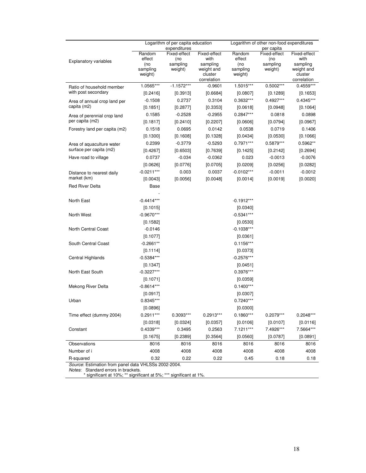|                                                                                             | Logarithm of per capita education |                              |                        | Logarithm of other non-food expenditures |                            |                        |  |
|---------------------------------------------------------------------------------------------|-----------------------------------|------------------------------|------------------------|------------------------------------------|----------------------------|------------------------|--|
|                                                                                             | Random                            | expenditures<br>Fixed-effect | Fixed-effect           | Random                                   | per capita<br>Fixed-effect | Fixed-effect           |  |
|                                                                                             | effect                            | (no                          | with                   | effect                                   | (no                        | with                   |  |
| <b>Explanatory variables</b>                                                                | (no                               | sampling                     | sampling               | (no                                      | sampling                   | sampling               |  |
|                                                                                             | sampling                          | weight)                      | weight and             | sampling                                 | weight)                    | weight and             |  |
|                                                                                             | weight)                           |                              | cluster<br>correlation | weight)                                  |                            | cluster<br>correlation |  |
|                                                                                             | 1.0565***                         | $-1.1572***$                 | $-0.9601$              | 1.5015***                                | $0.5002***$                | 0.4559***              |  |
| Ratio of household member<br>with post secondary                                            | [0.2416]                          | [0.3913]                     | [0.6684]               | [0.0807]                                 | [0.1289]                   | [0.1653]               |  |
| Area of annual crop land per                                                                | $-0.1508$                         | 0.2737                       | 0.3104                 | $0.3632***$                              | $0.4927***$                | $0.4345***$            |  |
| capita (m2)                                                                                 | [0.1851]                          | [0.2877]                     | [0.3353]               | [0.0618]                                 | [0.0948]                   | [0.1064]               |  |
| Area of perennial crop land                                                                 | 0.1585                            | $-0.2528$                    | $-0.2955$              | $0.2847***$                              | 0.0818                     | 0.0898                 |  |
| per capita (m2)                                                                             | [0.1817]                          | [0.2410]                     | [0.2207]               | [0.0606]                                 | [0.0794]                   | [0.0967]               |  |
| Forestry land per capita (m2)                                                               | 0.1518                            | 0.0695                       | 0.0142                 | 0.0538                                   | 0.0719                     | 0.1406                 |  |
|                                                                                             | [0.1300]                          | [0.1608]                     | [0.1328]               | [0.0434]                                 | [0.0530]                   | [0.1066]               |  |
| Area of aquaculture water                                                                   | 0.2399                            | $-0.3779$                    | $-0.5293$              | $0.7971***$                              | $0.5879***$                | 0.5962**               |  |
| surface per capita (m2)                                                                     | [0.4267]                          | [0.6503]                     | [0.7639]               | [0.1425]                                 | [0.2142]                   | [0.2694]               |  |
| Have road to village                                                                        | 0.0737                            | $-0.034$                     | $-0.0362$              | 0.023                                    | $-0.0013$                  | $-0.0076$              |  |
|                                                                                             | [0.0626]                          | [0.0776]                     | [0.0705]               | [0.0209]                                 | [0.0256]                   | [0.0282]               |  |
| Distance to nearest daily                                                                   | $-0.0211***$                      | 0.003                        | 0.0037                 | $-0.0102***$                             | $-0.0011$                  | $-0.0012$              |  |
| market (km)                                                                                 | [0.0043]                          | [0.0056]                     | [0.0048]               | [0.0014]                                 | [0.0019]                   | [0.0020]               |  |
| <b>Red River Delta</b>                                                                      | Base                              |                              |                        |                                          |                            |                        |  |
|                                                                                             |                                   |                              |                        |                                          |                            |                        |  |
| North East                                                                                  | $-0.4414***$                      |                              |                        | $-0.1912***$                             |                            |                        |  |
|                                                                                             | [0.1015]                          |                              |                        | [0.0340]                                 |                            |                        |  |
| North West                                                                                  | $-0.9670***$                      |                              |                        | $-0.5341***$                             |                            |                        |  |
|                                                                                             | [0.1582]                          |                              |                        | [0.0530]                                 |                            |                        |  |
| North Central Coast                                                                         | $-0.0146$                         |                              |                        | $-0.1038***$                             |                            |                        |  |
|                                                                                             | [0.1077]                          |                              |                        | [0.0361]                                 |                            |                        |  |
| South Central Coast                                                                         | $-0.2661**$                       |                              |                        | $0.1156***$                              |                            |                        |  |
|                                                                                             | [0.1114]                          |                              |                        | [0.0373]                                 |                            |                        |  |
| Central Highlands                                                                           | $-0.5384***$                      |                              |                        | $-0.2576***$                             |                            |                        |  |
|                                                                                             | $[0.1347]$                        |                              |                        | [0.0451]                                 |                            |                        |  |
| North East South                                                                            | $-0.3227***$                      |                              |                        | $0.3976***$                              |                            |                        |  |
|                                                                                             | [0.1071]                          |                              |                        | [0.0359]                                 |                            |                        |  |
|                                                                                             | $-0.8614***$                      |                              |                        | $0.1400***$                              |                            |                        |  |
| Mekong River Delta                                                                          |                                   |                              |                        |                                          |                            |                        |  |
|                                                                                             | [0.0917]                          |                              |                        | [0.0307]                                 |                            |                        |  |
| Urban                                                                                       | $0.8345***$                       |                              |                        | $0.7240***$                              |                            |                        |  |
|                                                                                             | [0.0896]                          |                              |                        | [0.0300]                                 |                            |                        |  |
| Time effect (dummy 2004)                                                                    | $0.2911***$                       | 0.3093***                    | $0.2913***$            | $0.1860***$                              | $0.2079***$                | $0.2048***$            |  |
|                                                                                             | [0.0318]                          | [0.0324]                     | [0.0357]               | [0.0106]                                 | [0.0107]                   | [0.0116]               |  |
| Constant                                                                                    | $0.4339***$                       | 0.3495                       | 0.2563                 | $7.1211***$                              | 7.4926***                  | 7.5664***              |  |
|                                                                                             | [0.1675]                          | [0.2389]                     | [0.3564]               | [0.0560]                                 | [0.0787]                   | [0.0891]               |  |
| Observations                                                                                | 8016                              | 8016                         | 8016                   | 8016                                     | 8016                       | 8016                   |  |
| Number of i                                                                                 | 4008                              | 4008                         | 4008                   | 4008                                     | 4008                       | 4008                   |  |
| R-squared                                                                                   | 0.32                              | 0.22                         | 0.22                   | 0.45                                     | 0.18                       | 0.18                   |  |
| Source: Estimation from panel data VHLSSs 2002-2004.<br>Notes: Standard errors in brackets. |                                   |                              |                        |                                          |                            |                        |  |

\* significant at 10%; \*\* significant at 5%; \*\*\* significant at 1%.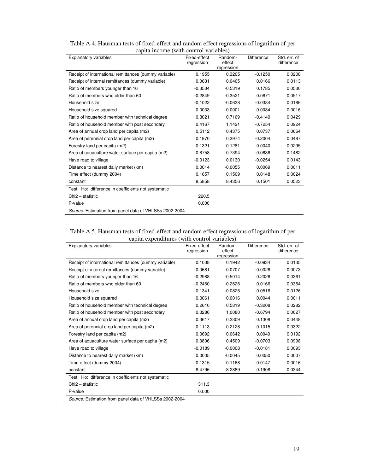| Explanatory variables                                  | Fixed-effect<br>regression | Random-<br>effect<br>regression | <b>Difference</b> | Std. err. of<br>difference |
|--------------------------------------------------------|----------------------------|---------------------------------|-------------------|----------------------------|
| Receipt of international remittances (dummy variable)  | 0.1955                     | 0.3205                          | $-0.1250$         | 0.0208                     |
| Receipt of internal remittances (dummy variable)       | 0.0631                     | 0.0465                          | 0.0166            | 0.0113                     |
| Ratio of members younger than 16                       | $-0.3534$                  | $-0.5319$                       | 0.1785            | 0.0530                     |
| Ratio of members who older than 60                     | $-0.2849$                  | $-0.3521$                       | 0.0671            | 0.0517                     |
| Household size                                         | $-0.1022$                  | $-0.0638$                       | $-0.0384$         | 0.0186                     |
| Household size squared                                 | 0.0033                     | $-0.0001$                       | 0.0034            | 0.0016                     |
| Ratio of household member with technical degree        | 0.3021                     | 0.7169                          | $-0.4149$         | 0.0429                     |
| Ratio of household member with post secondary          | 0.4167                     | 1.1421                          | $-0.7254$         | 0.0924                     |
| Area of annual crop land per capita (m2)               | 0.5112                     | 0.4375                          | 0.0737            | 0.0664                     |
| Area of perennial crop land per capita (m2)            | 0.1970                     | 0.3974                          | $-0.2004$         | 0.0487                     |
| Forestry land per capita (m2)                          | 0.1321                     | 0.1281                          | 0.0040            | 0.0295                     |
| Area of aquaculture water surface per capita (m2)      | 0.6758                     | 0.7394                          | $-0.0636$         | 0.1482                     |
| Have road to village                                   | $-0.0123$                  | 0.0130                          | $-0.0254$         | 0.0143                     |
| Distance to nearest daily market (km)                  | 0.0014                     | $-0.0055$                       | 0.0069            | 0.0011                     |
| Time effect (dummy 2004)                               | 0.1657                     | 0.1509                          | 0.0148            | 0.0024                     |
| constant                                               | 8.5858                     | 8.4356                          | 0.1501            | 0.0523                     |
| Test: Ho: difference in coefficients not systematic    |                            |                                 |                   |                            |
| Chi <sub>2</sub> - statistic                           | 220.5                      |                                 |                   |                            |
| P-value                                                | 0.000                      |                                 |                   |                            |
| Source: Estimation from panel data of VHLSSs 2002-2004 |                            |                                 |                   |                            |

|  |  | Table A.4. Hausman tests of fixed-effect and random effect regressions of logarithm of per |  |  |
|--|--|--------------------------------------------------------------------------------------------|--|--|
|  |  | capita income (with control variables)                                                     |  |  |

#### Table A.5. Hausman tests of fixed-effect and random effect regressions of logarithm of per capita expenditures (with control variables)

| <b>Explanatory variables</b>                           | Fixed-effect<br>regression | Random-<br>effect<br>regression | Difference | Std. err. of<br>difference |
|--------------------------------------------------------|----------------------------|---------------------------------|------------|----------------------------|
| Receipt of international remittances (dummy variable)  | 0.1008                     | 0.1942                          | $-0.0934$  | 0.0135                     |
| Receipt of internal remittances (dummy variable)       | 0.0681                     | 0.0707                          | $-0.0026$  | 0.0073                     |
| Ratio of members younger than 16                       | $-0.2988$                  | $-0.5014$                       | 0.2026     | 0.0361                     |
| Ratio of members who older than 60                     | $-0.2460$                  | $-0.2626$                       | 0.0166     | 0.0354                     |
| Household size                                         | $-0.1341$                  | $-0.0825$                       | $-0.0516$  | 0.0126                     |
| Household size squared                                 | 0.0061                     | 0.0016                          | 0.0044     | 0.0011                     |
| Ratio of household member with technical degree        | 0.2610                     | 0.5819                          | $-0.3208$  | 0.0282                     |
| Ratio of household member with post secondary          | 0.3286                     | 1.0080                          | $-0.6794$  | 0.0627                     |
| Area of annual crop land per capita (m2)               | 0.3617                     | 0.2309                          | 0.1308     | 0.0448                     |
| Area of perennial crop land per capita (m2)            | 0.1113                     | 0.2128                          | $-0.1015$  | 0.0322                     |
| Forestry land per capita (m2)                          | 0.0692                     | 0.0642                          | 0.0049     | 0.0192                     |
| Area of aquaculture water surface per capita (m2)      | 0.3806                     | 0.4509                          | $-0.0703$  | 0.0998                     |
| Have road to village                                   | $-0.0189$                  | $-0.0008$                       | $-0.0181$  | 0.0093                     |
| Distance to nearest daily market (km)                  | 0.0005                     | $-0.0045$                       | 0.0050     | 0.0007                     |
| Time effect (dummy 2004)                               | 0.1315                     | 0.1168                          | 0.0147     | 0.0016                     |
| constant                                               | 8.4796                     | 8.2889                          | 0.1908     | 0.0344                     |
| Test: Ho: difference in coefficients not systematic    |                            |                                 |            |                            |
| Chi <sub>2</sub> - statistic                           | 311.3                      |                                 |            |                            |
| P-value                                                | 0.000                      |                                 |            |                            |
| Source: Estimation from panel data of VHLSSs 2002-2004 |                            |                                 |            |                            |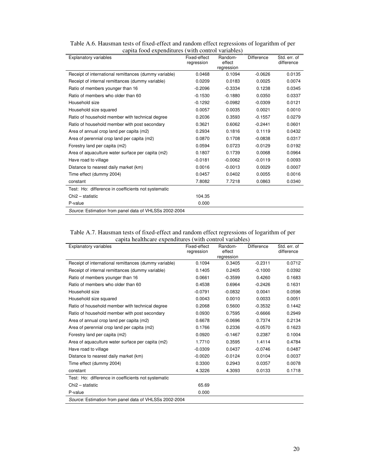| Explanatory variables                                  | Fixed-effect<br>regression | Random-<br>effect<br>regression | <b>Difference</b> | Std. err. of<br>difference |
|--------------------------------------------------------|----------------------------|---------------------------------|-------------------|----------------------------|
| Receipt of international remittances (dummy variable)  | 0.0468                     | 0.1094                          | $-0.0626$         | 0.0135                     |
| Receipt of internal remittances (dummy variable)       | 0.0209                     | 0.0183                          | 0.0025            | 0.0074                     |
| Ratio of members younger than 16                       | $-0.2096$                  | $-0.3334$                       | 0.1238            | 0.0345                     |
| Ratio of members who older than 60                     | $-0.1530$                  | $-0.1880$                       | 0.0350            | 0.0337                     |
| Household size                                         | $-0.1292$                  | $-0.0982$                       | $-0.0309$         | 0.0121                     |
| Household size squared                                 | 0.0057                     | 0.0035                          | 0.0021            | 0.0010                     |
| Ratio of household member with technical degree        | 0.2036                     | 0.3593                          | $-0.1557$         | 0.0279                     |
| Ratio of household member with post secondary          | 0.3621                     | 0.6062                          | $-0.2441$         | 0.0601                     |
| Area of annual crop land per capita (m2)               | 0.2934                     | 0.1816                          | 0.1119            | 0.0432                     |
| Area of perennial crop land per capita (m2)            | 0.0870                     | 0.1708                          | $-0.0838$         | 0.0317                     |
| Forestry land per capita (m2)                          | 0.0594                     | 0.0723                          | $-0.0129$         | 0.0192                     |
| Area of aquaculture water surface per capita (m2)      | 0.1807                     | 0.1739                          | 0.0068            | 0.0964                     |
| Have road to village                                   | $-0.0181$                  | $-0.0062$                       | $-0.0119$         | 0.0093                     |
| Distance to nearest daily market (km)                  | 0.0016                     | $-0.0013$                       | 0.0029            | 0.0007                     |
| Time effect (dummy 2004)                               | 0.0457                     | 0.0402                          | 0.0055            | 0.0016                     |
| constant                                               | 7.8082                     | 7.7218                          | 0.0863            | 0.0340                     |
| Test: Ho: difference in coefficients not systematic    |                            |                                 |                   |                            |
| Chi <sub>2</sub> - statistic                           | 104.35                     |                                 |                   |                            |
| P-value                                                | 0.000                      |                                 |                   |                            |
| Source: Estimation from panel data of VHLSSs 2002-2004 |                            |                                 |                   |                            |

| Table A.6. Hausman tests of fixed-effect and random effect regressions of logarithm of per |  |
|--------------------------------------------------------------------------------------------|--|
| capita food expenditures (with control variables)                                          |  |

#### Table A.7. Hausman tests of fixed-effect and random effect regressions of logarithm of per capita healthcare expenditures (with control variables)

| <b>Explanatory variables</b>                           | Fixed-effect<br>regression | Random-<br>effect<br>regression | Difference | Std. err. of<br>difference |
|--------------------------------------------------------|----------------------------|---------------------------------|------------|----------------------------|
| Receipt of international remittances (dummy variable)  | 0.1094                     | 0.3405                          | $-0.2311$  | 0.0712                     |
| Receipt of internal remittances (dummy variable)       | 0.1405                     | 0.2405                          | $-0.1000$  | 0.0392                     |
| Ratio of members younger than 16                       | 0.0661                     | $-0.3599$                       | 0.4260     | 0.1683                     |
| Ratio of members who older than 60                     | 0.4538                     | 0.6964                          | $-0.2426$  | 0.1631                     |
| Household size                                         | $-0.0791$                  | $-0.0832$                       | 0.0041     | 0.0596                     |
| Household size squared                                 | 0.0043                     | 0.0010                          | 0.0033     | 0.0051                     |
| Ratio of household member with technical degree        | 0.2068                     | 0.5600                          | $-0.3532$  | 0.1442                     |
| Ratio of household member with post secondary          | 0.0930                     | 0.7595                          | $-0.6666$  | 0.2949                     |
| Area of annual crop land per capita (m2)               | 0.6678                     | $-0.0696$                       | 0.7374     | 0.2134                     |
| Area of perennial crop land per capita (m2)            | 0.1766                     | 0.2336                          | $-0.0570$  | 0.1623                     |
| Forestry land per capita (m2)                          | 0.0920                     | $-0.1467$                       | 0.2387     | 0.1004                     |
| Area of aquaculture water surface per capita (m2)      | 1.7710                     | 0.3595                          | 1.4114     | 0.4784                     |
| Have road to village                                   | $-0.0309$                  | 0.0437                          | $-0.0746$  | 0.0487                     |
| Distance to nearest daily market (km)                  | $-0.0020$                  | $-0.0124$                       | 0.0104     | 0.0037                     |
| Time effect (dummy 2004)                               | 0.3300                     | 0.2943                          | 0.0357     | 0.0078                     |
| constant                                               | 4.3226                     | 4.3093                          | 0.0133     | 0.1718                     |
| Test: Ho: difference in coefficients not systematic    |                            |                                 |            |                            |
| Chi <sub>2</sub> - statistic                           | 65.69                      |                                 |            |                            |
| P-value                                                | 0.000                      |                                 |            |                            |
| Source: Estimation from panel data of VHLSSs 2002-2004 |                            |                                 |            |                            |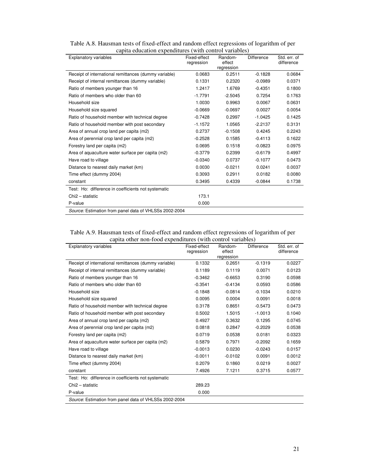| Explanatory variables                                  | Fixed-effect<br>regression | Random-<br>effect<br>regression | Difference | Std. err. of<br>difference |
|--------------------------------------------------------|----------------------------|---------------------------------|------------|----------------------------|
| Receipt of international remittances (dummy variable)  | 0.0683                     | 0.2511                          | $-0.1828$  | 0.0684                     |
| Receipt of internal remittances (dummy variable)       | 0.1331                     | 0.2320                          | $-0.0989$  | 0.0371                     |
| Ratio of members younger than 16                       | 1.2417                     | 1.6769                          | $-0.4351$  | 0.1800                     |
| Ratio of members who older than 60                     | $-1.7791$                  | $-2.5045$                       | 0.7254     | 0.1763                     |
| Household size                                         | 1.0030                     | 0.9963                          | 0.0067     | 0.0631                     |
| Household size squared                                 | $-0.0669$                  | $-0.0697$                       | 0.0027     | 0.0054                     |
| Ratio of household member with technical degree        | $-0.7428$                  | 0.2997                          | $-1.0425$  | 0.1425                     |
| Ratio of household member with post secondary          | $-1.1572$                  | 1.0565                          | $-2.2137$  | 0.3131                     |
| Area of annual crop land per capita (m2)               | 0.2737                     | $-0.1508$                       | 0.4245     | 0.2243                     |
| Area of perennial crop land per capita (m2)            | $-0.2528$                  | 0.1585                          | $-0.4113$  | 0.1622                     |
| Forestry land per capita (m2)                          | 0.0695                     | 0.1518                          | $-0.0823$  | 0.0975                     |
| Area of aquaculture water surface per capita (m2)      | $-0.3779$                  | 0.2399                          | $-0.6179$  | 0.4997                     |
| Have road to village                                   | $-0.0340$                  | 0.0737                          | $-0.1077$  | 0.0473                     |
| Distance to nearest daily market (km)                  | 0.0030                     | $-0.0211$                       | 0.0241     | 0.0037                     |
| Time effect (dummy 2004)                               | 0.3093                     | 0.2911                          | 0.0182     | 0.0080                     |
| constant                                               | 0.3495                     | 0.4339                          | $-0.0844$  | 0.1738                     |
| Test: Ho: difference in coefficients not systematic    |                            |                                 |            |                            |
| Chi <sub>2</sub> - statistic                           | 173.1                      |                                 |            |                            |
| P-value                                                | 0.000                      |                                 |            |                            |
| Source: Estimation from panel data of VHLSSs 2002-2004 |                            |                                 |            |                            |

| Table A.8. Hausman tests of fixed-effect and random effect regressions of logarithm of per |  |
|--------------------------------------------------------------------------------------------|--|
| capita education expenditures (with control variables)                                     |  |

#### Table A.9. Hausman tests of fixed-effect and random effect regressions of logarithm of per capita other non-food expenditures (with control variables)

| <b>Explanatory variables</b>                           | Fixed-effect<br>regression | Random-<br>effect<br>regression | Difference | Std. err. of<br>difference |
|--------------------------------------------------------|----------------------------|---------------------------------|------------|----------------------------|
| Receipt of international remittances (dummy variable)  | 0.1332                     | 0.2651                          | $-0.1319$  | 0.0227                     |
| Receipt of internal remittances (dummy variable)       | 0.1189                     | 0.1119                          | 0.0071     | 0.0123                     |
| Ratio of members younger than 16                       | $-0.3462$                  | $-0.6653$                       | 0.3190     | 0.0598                     |
| Ratio of members who older than 60                     | $-0.3541$                  | $-0.4134$                       | 0.0593     | 0.0586                     |
| Household size                                         | $-0.1848$                  | $-0.0814$                       | $-0.1034$  | 0.0210                     |
| Household size squared                                 | 0.0095                     | 0.0004                          | 0.0091     | 0.0018                     |
| Ratio of household member with technical degree        | 0.3178                     | 0.8651                          | $-0.5473$  | 0.0473                     |
| Ratio of household member with post secondary          | 0.5002                     | 1.5015                          | $-1.0013$  | 0.1040                     |
| Area of annual crop land per capita (m2)               | 0.4927                     | 0.3632                          | 0.1295     | 0.0745                     |
| Area of perennial crop land per capita (m2)            | 0.0818                     | 0.2847                          | $-0.2029$  | 0.0538                     |
| Forestry land per capita (m2)                          | 0.0719                     | 0.0538                          | 0.0181     | 0.0323                     |
| Area of aquaculture water surface per capita (m2)      | 0.5879                     | 0.7971                          | $-0.2092$  | 0.1659                     |
| Have road to village                                   | $-0.0013$                  | 0.0230                          | $-0.0243$  | 0.0157                     |
| Distance to nearest daily market (km)                  | $-0.0011$                  | $-0.0102$                       | 0.0091     | 0.0012                     |
| Time effect (dummy 2004)                               | 0.2079                     | 0.1860                          | 0.0219     | 0.0027                     |
| constant                                               | 7.4926                     | 7.1211                          | 0.3715     | 0.0577                     |
| Test: Ho: difference in coefficients not systematic    |                            |                                 |            |                            |
| Chi <sub>2</sub> - statistic                           | 289.23                     |                                 |            |                            |
| P-value                                                | 0.000                      |                                 |            |                            |
| Source: Estimation from panel data of VHLSSs 2002-2004 |                            |                                 |            |                            |